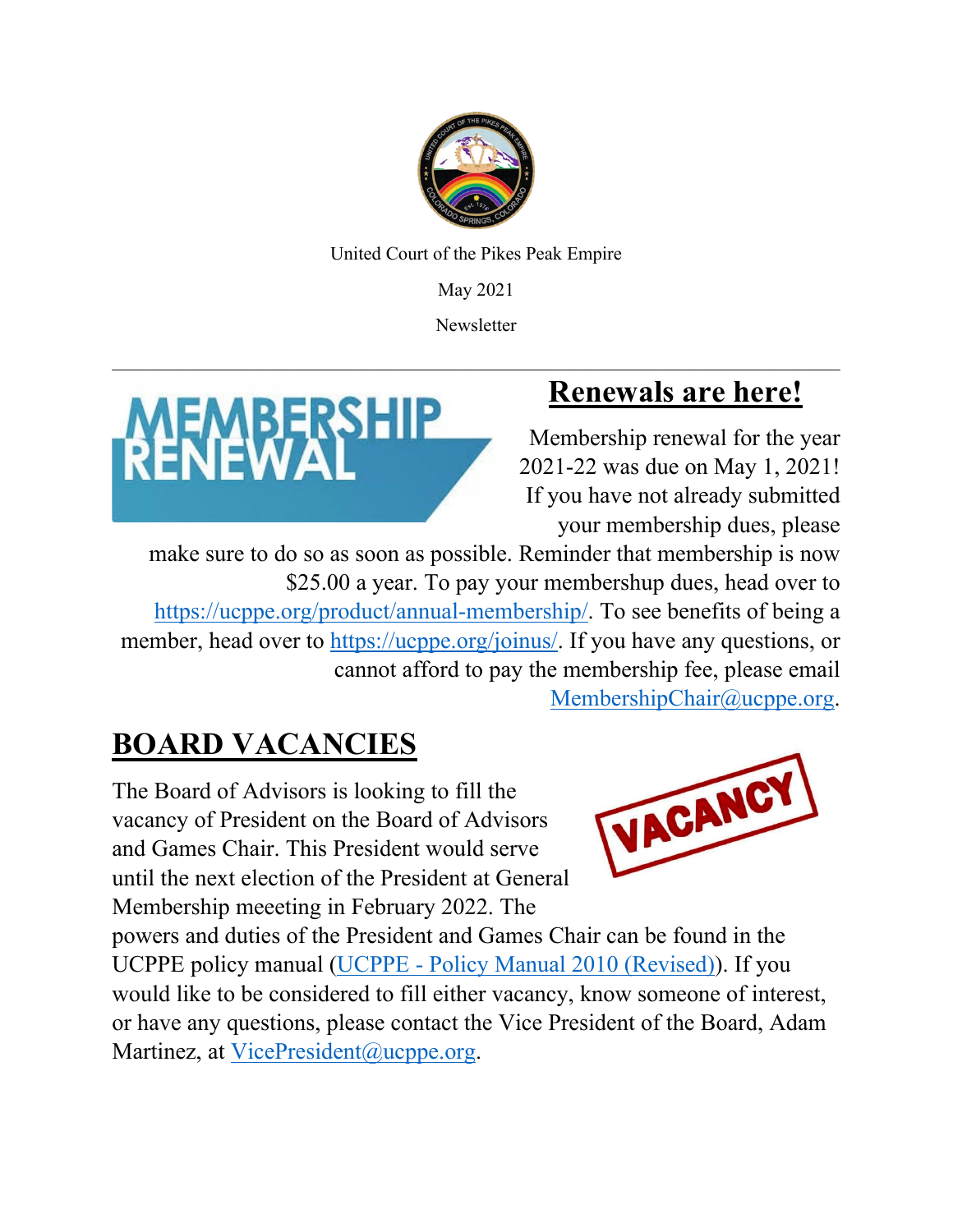

United Court of the Pikes Peak Empire

May 2021

**Newsletter** 



## **Renewals are here!**

Membership renewal for the year 2021-22 was due on May 1, 2021! If you have not already submitted your membership dues, please

make sure to do so as soon as possible. Reminder that membership is now \$25.00 a year. To pay your membershup dues, head over to [https://ucppe.org/product/annual-membership/.](https://ucppe.org/product/annual-membership/) To see benefits of being a member, head over to [https://ucppe.org/joinus/.](https://ucppe.org/joinus/) If you have any questions, or cannot afford to pay the membership fee, please email

[MembershipChair@ucppe.org.](mailto:MembershipChair@ucppe.org)

# **BOARD VACANCIES**

The Board of Advisors is looking to fill the vacancy of President on the Board of Advisors and Games Chair. This President would serve until the next election of the President at General Membership meeeting in February 2022. The



powers and duties of the President and Games Chair can be found in the UCPPE policy manual (UCPPE - [Policy Manual 2010 \(Revised\)\)](https://ucppe.org/wp-content/uploads/2018/02/UCPPE-Policy-Manual-revised-and-approved-1-7-2018.pdf). If you would like to be considered to fill either vacancy, know someone of interest, or have any questions, please contact the Vice President of the Board, Adam Martinez, at VicePresident@ucppe.org.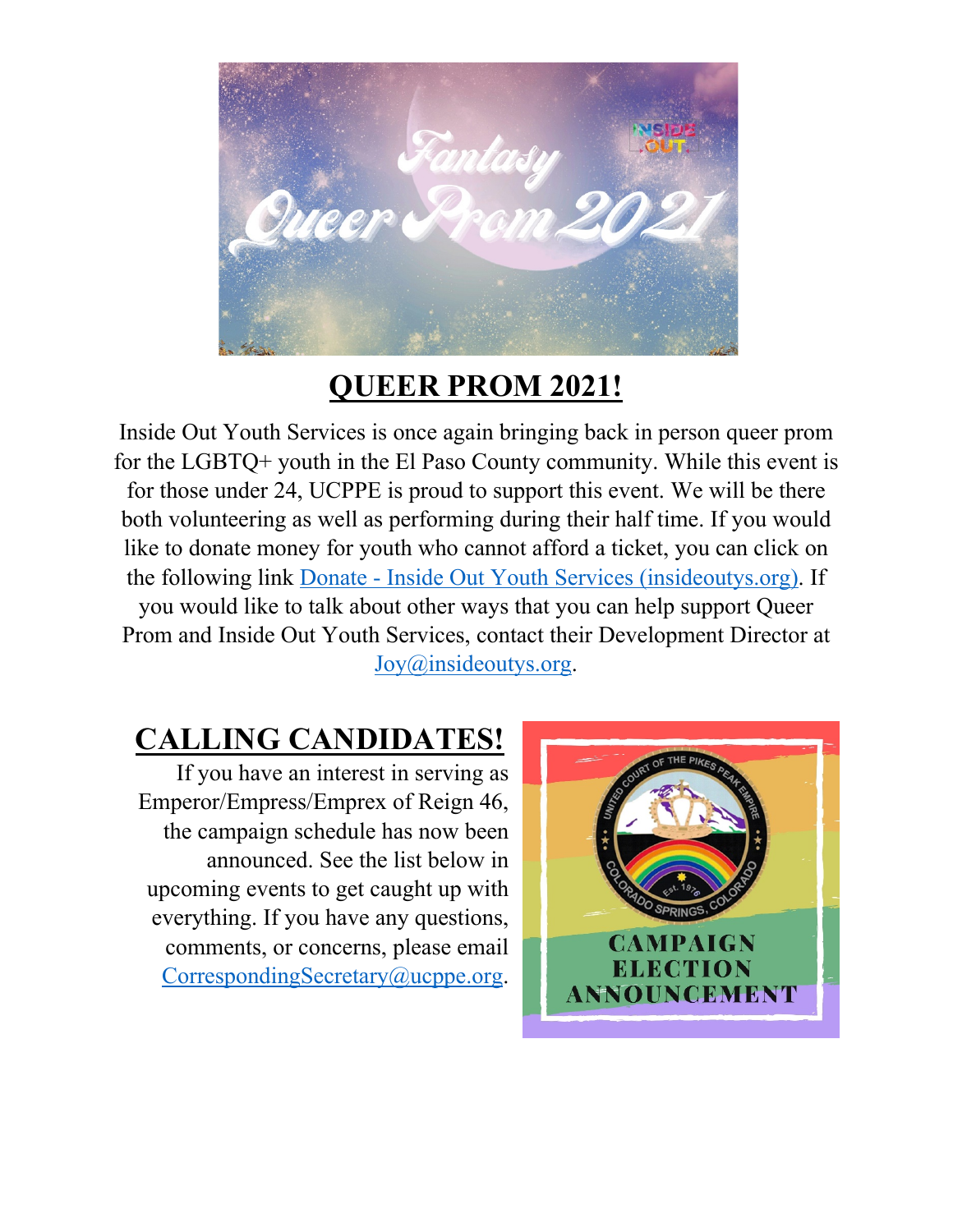

#### **QUEER PROM 2021!**

Inside Out Youth Services is once again bringing back in person queer prom for the LGBTQ+ youth in the El Paso County community. While this event is for those under 24, UCPPE is proud to support this event. We will be there both volunteering as well as performing during their half time. If you would like to donate money for youth who cannot afford a ticket, you can click on the following link Donate - [Inside Out Youth Services \(insideoutys.org\).](https://insideoutys.org/donate/?fbclid=IwAR1Ncbrfj3DIkuLhIJcmIyv2UVZGYRSEB81z8ehFNeIRIICUYowCvSuAgSA) If you would like to talk about other ways that you can help support Queer Prom and Inside Out Youth Services, contact their Development Director at Joy@insideoutys.org.

#### **CALLING CANDIDATES!**

If you have an interest in serving as Emperor/Empress/Emprex of Reign 46, the campaign schedule has now been announced. See the list below in upcoming events to get caught up with everything. If you have any questions, comments, or concerns, please email [CorrespondingSecretary@ucppe.org.](mailto:CorrespondingSecretary@ucppe.org)

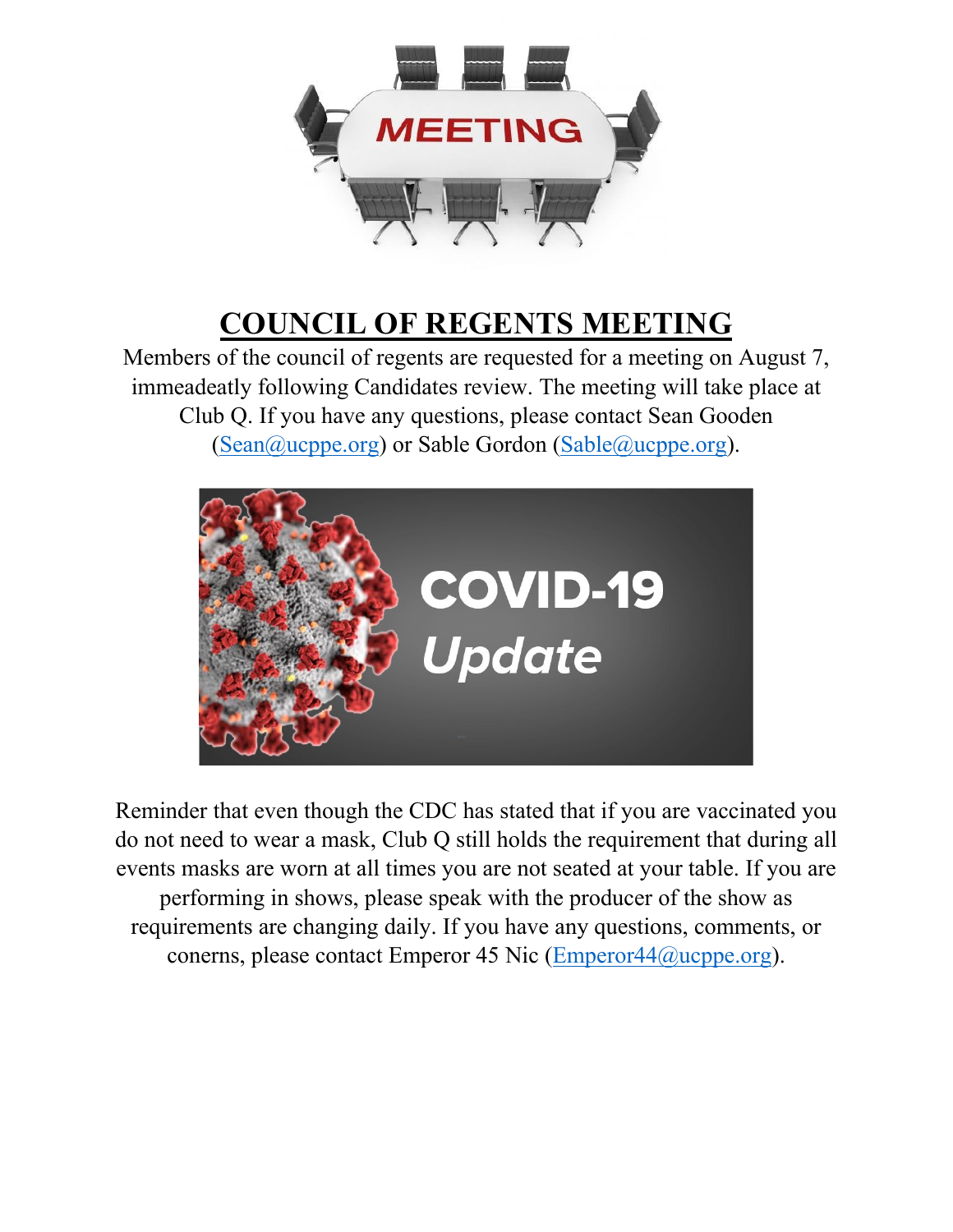

## **COUNCIL OF REGENTS MEETING**

Members of the council of regents are requested for a meeting on August 7, immeadeatly following Candidates review. The meeting will take place at Club Q. If you have any questions, please contact Sean Gooden [\(Sean@ucppe.org\)](mailto:Sean@ucppe.org) or Sable Gordon [\(Sable@ucppe.org\)](mailto:Sable@ucppe.org).



Reminder that even though the CDC has stated that if you are vaccinated you do not need to wear a mask, Club Q still holds the requirement that during all events masks are worn at all times you are not seated at your table. If you are performing in shows, please speak with the producer of the show as requirements are changing daily. If you have any questions, comments, or conerns, please contact Emperor 45 Nic (Emperor 44@ucppe.org).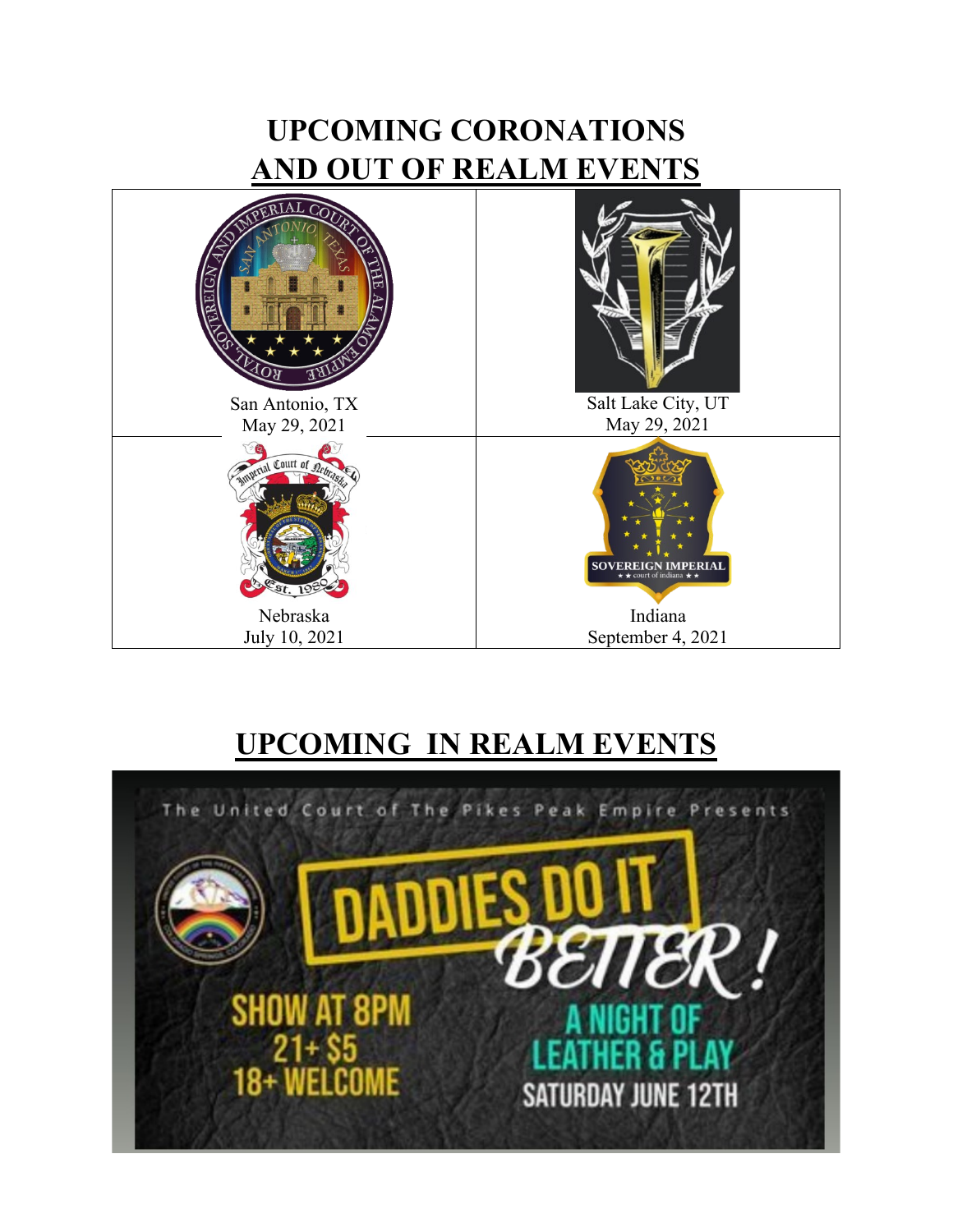## **UPCOMING CORONATIONS AND OUT OF REALM EVENTS**



### **UPCOMING IN REALM EVENTS**